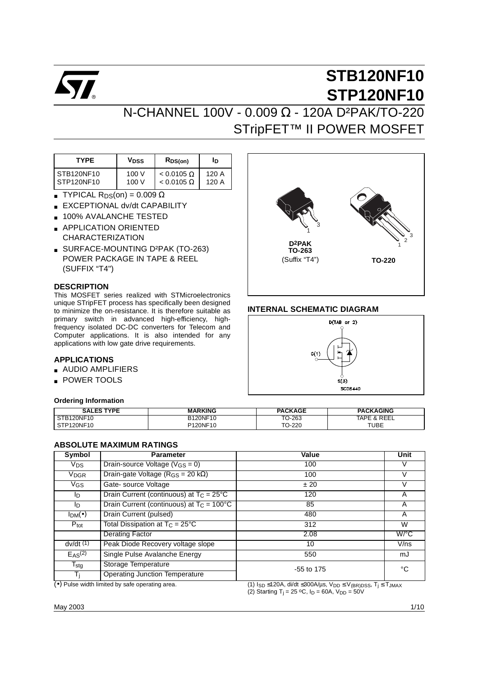

# N-CHANNEL 100V - 0.009 Ω - 120A D²PAK/TO-220 STripFET™ II POWER MOSFET

| <b>TYPE</b> | V <sub>DSS</sub> | RDS(on)           | םו    |
|-------------|------------------|-------------------|-------|
| STB120NF10  | 100 V            | $< 0.0105 \Omega$ | 120 A |
| STP120NF10  | 100 V            | $< 0.0105 \Omega$ | 120 A |

- **TYPICAL R**<sub>DS</sub>(on) =  $0.009 \Omega$
- EXCEPTIONAL dv/dt CAPABILITY
- **100% AVALANCHE TESTED**
- APPLICATION ORIENTED CHARACTERIZATION
- SURFACE-MOUNTING D²PAK (TO-263) POWER PACKAGE IN TAPE & REEL (SUFFIX "T4")

#### **DESCRIPTION**

This MOSFET series realized with STMicroelectronics unique STripFET process has specifically been designed to minimize the on-resistance. It is therefore suitable as primary switch in advanced high-efficiency, highfrequency isolated DC-DC converters for Telecom and Computer applications. It is also intended for any applications with low gate drive requirements.

#### **APPLICATIONS**

- AUDIO AMPLIFIERS
- POWER TOOLS

#### **Ordering Information**



#### **INTERNAL SCHEMATIC DIAGRAM**



| <b>TYPF</b><br><b>SALES</b> | <b>ARKING</b> | <b>PACKAGE</b> | <b>PACKAGING</b>  |
|-----------------------------|---------------|----------------|-------------------|
| STB120NF10                  | B120NF10      | rO-263<br>π∩   | REEL<br>TAPE<br>~ |
| STP120NF10                  | P120NF10      | TO-220         | <b>TUBE</b>       |

#### **ABSOLUTE MAXIMUM RATINGS**

| Symbol                 | <b>Parameter</b>                                   | Value        | Unit               |
|------------------------|----------------------------------------------------|--------------|--------------------|
| $V_{DS}$               | Drain-source Voltage $(V_{GS} = 0)$                | 100          |                    |
| <b>V<sub>DGR</sub></b> | Drain-gate Voltage ( $R_{GS}$ = 20 k $\Omega$ )    | 100          | V                  |
| $V$ GS                 | Gate-source Voltage                                | ± 20         |                    |
| lD.                    | Drain Current (continuous) at $T_C = 25^{\circ}C$  | 120          | A                  |
| lD.                    | Drain Current (continuous) at $T_C = 100^{\circ}C$ | 85           | A                  |
| $I_{DM}(\bullet)$      | Drain Current (pulsed)                             | 480          | A                  |
| $P_{\text{tot}}$       | Total Dissipation at $T_C = 25^{\circ}C$           | 312          | W                  |
|                        | <b>Derating Factor</b>                             | 2.08         | $W$ <sup>o</sup> C |
| $dv/dt$ $(1)$          | Peak Diode Recovery voltage slope                  | 10           | V/ns               |
| E <sub>AS</sub> (2)    | Single Pulse Avalanche Energy                      | 550          | mJ                 |
| $T_{\text{stg}}$       | Storage Temperature                                | $-55$ to 175 | °C                 |
| Τi                     | <b>Operating Junction Temperature</b>              |              |                    |

(•) Pulse width limited by safe operating area. (1) I<sub>SD</sub> ≤120A, di/dt ≤300A/µs, V<sub>DD</sub> ≤ V<sub>(BR)DSS</sub>, T<sub>j</sub> ≤ T<sub>JMAX</sub> (2) Starting T<sub>j</sub> = 25 °C, I<sub>D</sub> = 60A, V<sub>DD</sub> = 50V

May 2003 1/10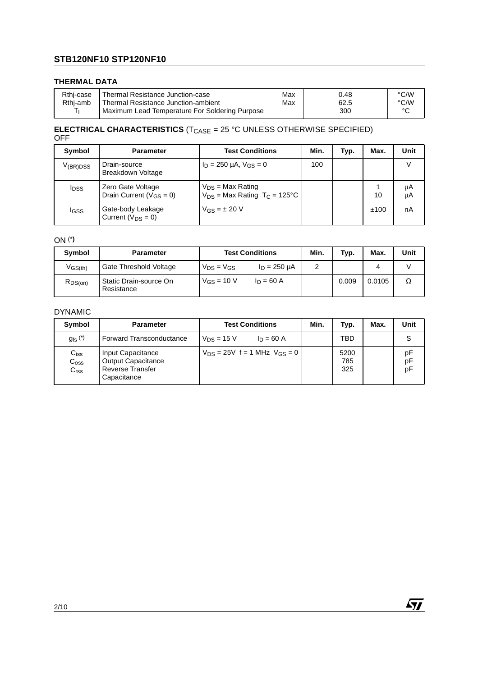#### **THERMAL DATA**

| Rthi-case | Thermal Resistance Junction-case               | Max | 0.48 | °C/W |
|-----------|------------------------------------------------|-----|------|------|
| Rthi-amb  | Thermal Resistance Junction-ambient            | Max | 62.5 | °C/W |
| ÷         | Maximum Lead Temperature For Soldering Purpose |     | 300  |      |

#### **ELECTRICAL CHARACTERISTICS** (T<sub>CASE</sub> = 25 °C UNLESS OTHERWISE SPECIFIED) OFF

| Symbol        | <b>Parameter</b>                                            | <b>Test Conditions</b>                                                | Min. | Typ. | Max. | Unit     |
|---------------|-------------------------------------------------------------|-----------------------------------------------------------------------|------|------|------|----------|
| $V_{(BR)DSS}$ | Drain-source<br><b>Breakdown Voltage</b>                    | $I_D = 250 \mu A$ , $V_{GS} = 0$                                      | 100  |      |      |          |
| <b>I</b> DSS  | Zero Gate Voltage<br>Drain Current ( $V$ <sub>GS</sub> = 0) | $V_{DS}$ = Max Rating<br>$V_{DS}$ = Max Rating T <sub>C</sub> = 125°C |      |      | 10   | μA<br>μA |
| <b>I</b> GSS  | Gate-body Leakage<br>Current ( $V_{DS} = 0$ )               | $V_{GS} = \pm 20 V$                                                   |      |      | ±100 | nA       |

#### ON (\***)**

| Symbol       | <b>Parameter</b>                     | <b>Test Conditions</b> |                   | Min. | Typ.  | Max.   | Unit |
|--------------|--------------------------------------|------------------------|-------------------|------|-------|--------|------|
| $V$ GS(th)   | Gate Threshold Voltage               | $V_{DS} = V_{GS}$      | $I_D = 250 \mu A$ |      |       |        |      |
| $R_{DS(on)}$ | Static Drain-source On<br>Resistance | $V_{GS} = 10 V$        | $ln = 60 A$       |      | 0.009 | 0.0105 | Ω    |

#### DYNAMIC

| Symbol                                         | <b>Parameter</b>                                                                         | <b>Test Conditions</b>                | Min. | Typ.               | Max. | Unit           |
|------------------------------------------------|------------------------------------------------------------------------------------------|---------------------------------------|------|--------------------|------|----------------|
| $g_{\text{fs}}^{\text{(*)}}$                   | <b>Forward Transconductance</b>                                                          | $V_{DS}$ = 15 V<br>$ln = 60 A$        |      | TBD                |      |                |
| $C_{iss}$<br>$C_{\rm oss}$<br>C <sub>rss</sub> | Input Capacitance<br><b>Output Capacitance</b><br><b>Reverse Transfer</b><br>Capacitance | $V_{DS} = 25V$ f = 1 MHz $V_{GS} = 0$ |      | 5200<br>785<br>325 |      | рF<br>pF<br>pF |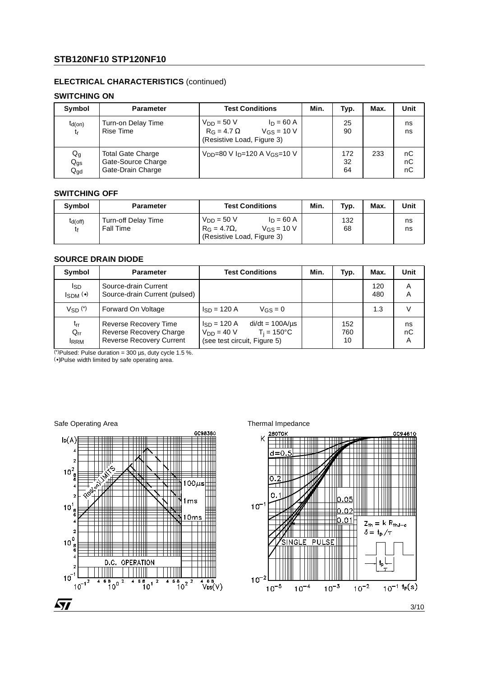#### **ELECTRICAL CHARACTERISTICS** (continued)

#### **SWITCHING ON**

| Symbol                                                   | <b>Parameter</b>                                                    | <b>Test Conditions</b>                                                                                 | Min. | Typ.            | Max. | Unit           |
|----------------------------------------------------------|---------------------------------------------------------------------|--------------------------------------------------------------------------------------------------------|------|-----------------|------|----------------|
| $t_{d(on)}$<br>tr                                        | Turn-on Delay Time<br><b>Rise Time</b>                              | $V_{DD} = 50 V$<br>$I_D = 60 A$<br>$R_G = 4.7 \Omega$<br>$V_{GS}$ = 10 V<br>(Resistive Load, Figure 3) |      | 25<br>90        |      | ns<br>ns       |
| $\mathsf{Q}_{\mathsf{g}}$<br>$Q_{gs}$<br>$Q_{\text{gd}}$ | <b>Total Gate Charge</b><br>Gate-Source Charge<br>Gate-Drain Charge | V <sub>DD</sub> =80 V I <sub>D</sub> =120 A V <sub>GS</sub> =10 V                                      |      | 172<br>32<br>64 | 233  | nС<br>пC<br>пC |

#### **SWITCHING OFF**

| Symbol             | <b>Parameter</b>                        | <b>Test Conditions</b>                                                                                          | Min. | Typ.      | Max. | Unit     |
|--------------------|-----------------------------------------|-----------------------------------------------------------------------------------------------------------------|------|-----------|------|----------|
| $t_{d(off)}$<br>tŧ | Turn-off Delay Time<br><b>Fall Time</b> | $V_{DD} = 50 V$<br>$ln = 60 A$<br>$V$ <sub>GS</sub> = 10 V<br>$R_G = 4.7\Omega$ .<br>(Resistive Load, Figure 3) |      | 132<br>68 |      | ns<br>ns |

#### **SOURCE DRAIN DIODE**

| Symbol                                     | <b>Parameter</b>                                                                           | <b>Test Conditions</b>                                                                                              | Min. | Typ.             | Max.       | Unit          |
|--------------------------------------------|--------------------------------------------------------------------------------------------|---------------------------------------------------------------------------------------------------------------------|------|------------------|------------|---------------|
| I <sub>SD</sub><br>$I_{SDM}$ ( $\bullet$ ) | Source-drain Current<br>Source-drain Current (pulsed)                                      |                                                                                                                     |      |                  | 120<br>480 | Α<br>Α        |
| Vsn <sup>(*)</sup>                         | Forward On Voltage                                                                         | $\text{lsn} = 120 \text{ A}$<br>$V_{GS} = 0$                                                                        |      |                  | 1.3        |               |
| $t_{rr}$<br>$Q_{rr}$<br><b>IRRM</b>        | <b>Reverse Recovery Time</b><br>Reverse Recovery Charge<br><b>Reverse Recovery Current</b> | $di/dt = 100A/\mu s$<br>$I_{SD} = 120 A$<br>$V_{DD} = 40 V$<br>$T_i = 150^{\circ}C$<br>(see test circuit, Figure 5) |      | 152<br>760<br>10 |            | ns<br>nC<br>Α |

(\*)Pulsed: Pulse duration = 300  $\mu$ s, duty cycle 1.5 %.

(•)Pulse width limited by safe operating area.

Safe Operating Area Thermal Impedance

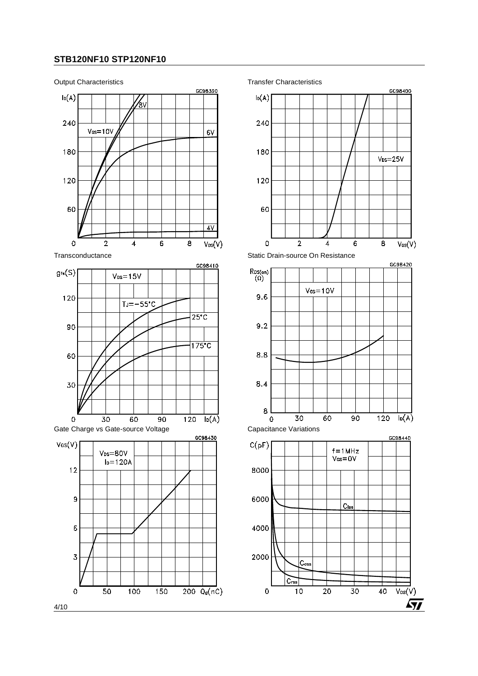

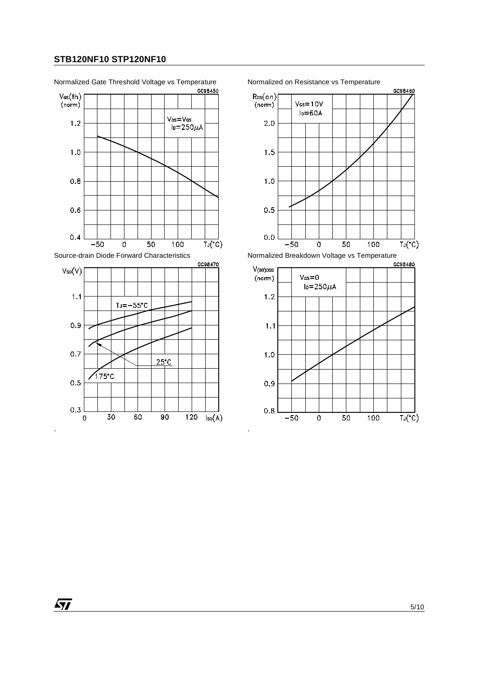

. .

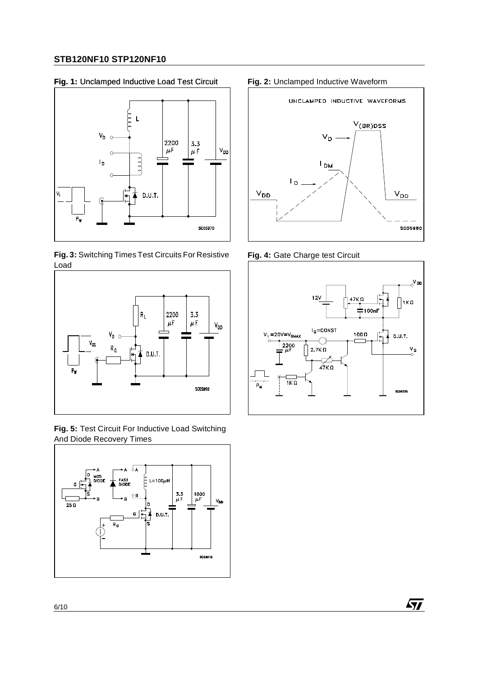#### **Fig. 1:** Unclamped Inductive Load Test Circuit **Fig. 2:** Unclamped Inductive Waveform



**Fig. 3:** Switching Times Test Circuits For Resistive Load



**Fig. 5:** Test Circuit For Inductive Load Switching And Diode Recovery Times





**Fig. 4:** Gate Charge test Circuit



 $\sqrt{2}$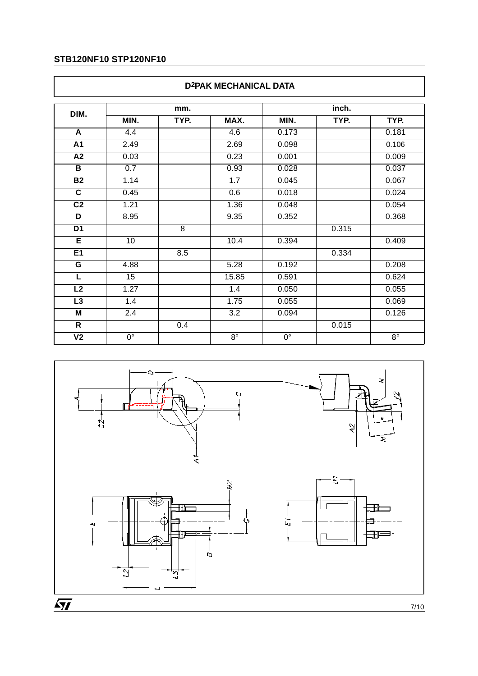|                          | <b>D2PAK MECHANICAL DATA</b> |      |             |             |       |             |  |  |
|--------------------------|------------------------------|------|-------------|-------------|-------|-------------|--|--|
| DIM.                     | mm.                          |      |             |             | inch. |             |  |  |
|                          | MIN.                         | TYP. | MAX.        | MIN.        | TYP.  | TYP.        |  |  |
| A                        | 4.4                          |      | 4.6         | 0.173       |       | 0.181       |  |  |
| A1                       | 2.49                         |      | 2.69        | 0.098       |       | 0.106       |  |  |
| $\overline{A2}$          | 0.03                         |      | 0.23        | 0.001       |       | 0.009       |  |  |
| B                        | 0.7                          |      | 0.93        | 0.028       |       | 0.037       |  |  |
| B <sub>2</sub>           | 1.14                         |      | 1.7         | 0.045       |       | 0.067       |  |  |
| $\overline{\mathbf{c}}$  | 0.45                         |      | 0.6         | 0.018       |       | 0.024       |  |  |
| C <sub>2</sub>           | 1.21                         |      | 1.36        | 0.048       |       | 0.054       |  |  |
| D                        | 8.95                         |      | 9.35        | 0.352       |       | 0.368       |  |  |
| D <sub>1</sub>           |                              | 8    |             |             | 0.315 |             |  |  |
| Ε                        | 10                           |      | 10.4        | 0.394       |       | 0.409       |  |  |
| E1                       |                              | 8.5  |             |             | 0.334 |             |  |  |
| G                        | 4.88                         |      | 5.28        | 0.192       |       | 0.208       |  |  |
| $\overline{L}$           | 15                           |      | 15.85       | 0.591       |       | 0.624       |  |  |
| L2                       | 1.27                         |      | 1.4         | 0.050       |       | 0.055       |  |  |
| L <sub>3</sub>           | 1.4                          |      | 1.75        | 0.055       |       | 0.069       |  |  |
| M                        | 2.4                          |      | 3.2         | 0.094       |       | 0.126       |  |  |
| $\mathsf{R}$             |                              | 0.4  |             |             | 0.015 |             |  |  |
| $\overline{\mathsf{V2}}$ | $0^{\circ}$                  |      | $8^{\circ}$ | $0^{\circ}$ |       | $8^{\circ}$ |  |  |



 $\overline{SI}$ 

 $7/10$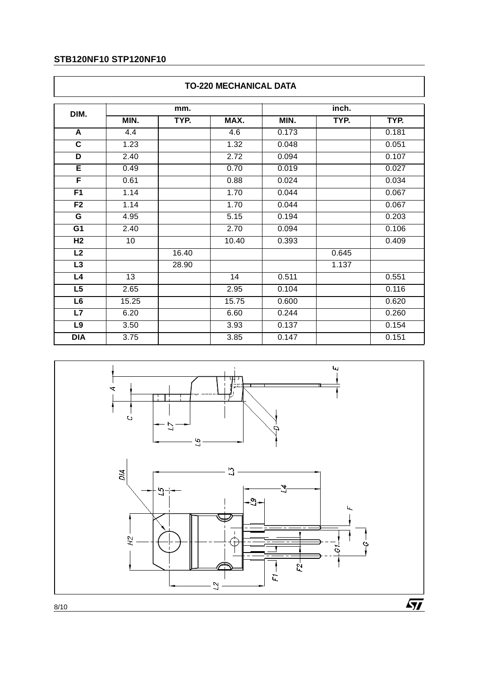|                         |                 | mm.   |       |       | inch. |       |  |  |
|-------------------------|-----------------|-------|-------|-------|-------|-------|--|--|
| DIM.                    | MIN.            | TYP.  | MAX.  | MIN.  | TYP.  | TYP.  |  |  |
| A                       | 4.4             |       | 4.6   | 0.173 |       | 0.181 |  |  |
| $\overline{\mathbf{c}}$ | 1.23            |       | 1.32  | 0.048 |       | 0.051 |  |  |
| D                       | 2.40            |       | 2.72  | 0.094 |       | 0.107 |  |  |
| E                       | 0.49            |       | 0.70  | 0.019 |       | 0.027 |  |  |
| F                       | 0.61            |       | 0.88  | 0.024 |       | 0.034 |  |  |
| F <sub>1</sub>          | 1.14            |       | 1.70  | 0.044 |       | 0.067 |  |  |
| F2                      | 1.14            |       | 1.70  | 0.044 |       | 0.067 |  |  |
| G                       | 4.95            |       | 5.15  | 0.194 |       | 0.203 |  |  |
| G <sub>1</sub>          | 2.40            |       | 2.70  | 0.094 |       | 0.106 |  |  |
| H <sub>2</sub>          | 10              |       | 10.40 | 0.393 |       | 0.409 |  |  |
| L2                      |                 | 16.40 |       |       | 0.645 |       |  |  |
| L3                      |                 | 28.90 |       |       | 1.137 |       |  |  |
| L4                      | $\overline{13}$ |       | 14    | 0.511 |       | 0.551 |  |  |
| L5                      | 2.65            |       | 2.95  | 0.104 |       | 0.116 |  |  |
| L6                      | 15.25           |       | 15.75 | 0.600 |       | 0.620 |  |  |
| L7                      | 6.20            |       | 6.60  | 0.244 |       | 0.260 |  |  |
| L9                      | 3.50            |       | 3.93  | 0.137 |       | 0.154 |  |  |
| <b>DIA</b>              | 3.75            |       | 3.85  | 0.147 |       | 0.151 |  |  |



# **TO-220 MECHANICAL DATA**

 $\sqrt{1}$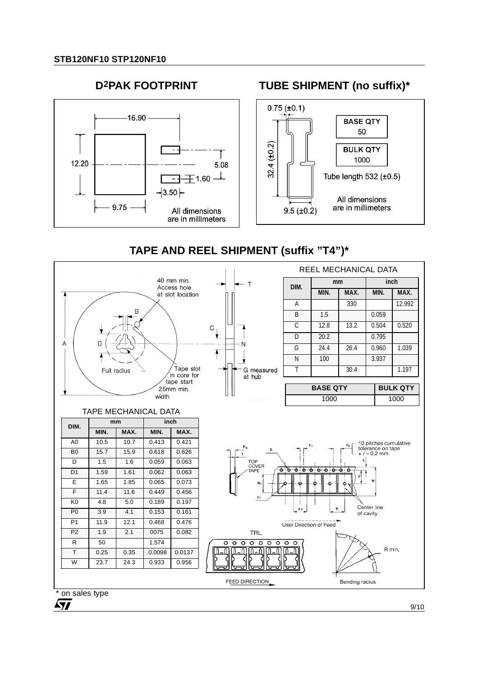



# **TUBE SHIPMENT (no suffix)\***



# **TAPE AND REEL SHIPMENT (suffix "T4")\***